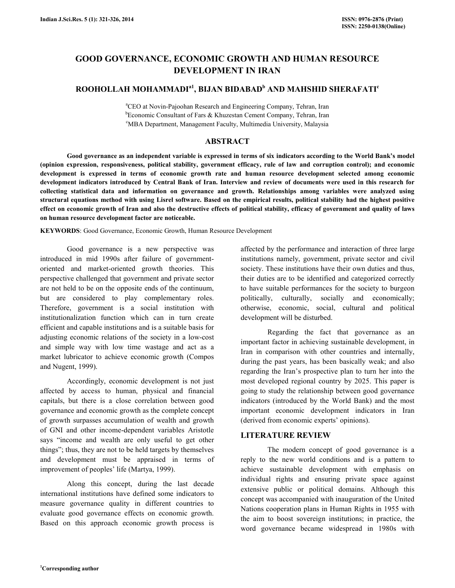# GOOD GOVERNANCE, ECONOMIC GROWTH AND HUMAN RESOURCE DEVELOPMENT IN IRAN

# ROOHOLLAH MOHAMMADI<sup>a1</sup>, BIJAN BIDABAD<sup>b</sup> AND MAHSHID SHERAFATI<sup>c</sup>

<sup>a</sup>CEO at Novin-Pajoohan Research and Engineering Company, Tehran, Iran <sup>b</sup>Economic Consultant of Fars & Khuzestan Cement Company, Tehran, Iran <sup>c</sup>MBA Department, Management Faculty, Multimedia University, Malaysia

### ABSTRACT

 Good governance as an independent variable is expressed in terms of six indicators according to the World Bank's model (opinion expression, responsiveness, political stability, government efficacy, rule of law and corruption control); and economic development is expressed in terms of economic growth rate and human resource development selected among economic development indicators introduced by Central Bank of Iran. Interview and review of documents were used in this research for collecting statistical data and information on governance and growth. Relationships among variables were analyzed using structural equations method with using Lisrel software. Based on the empirical results, political stability had the highest positive effect on economic growth of Iran and also the destructive effects of political stability, efficacy of government and quality of laws on human resource development factor are noticeable.

KEYWORDS: Good Governance, Economic Growth, Human Resource Development

 Good governance is a new perspective was introduced in mid 1990s after failure of governmentoriented and market-oriented growth theories. This perspective challenged that government and private sector are not held to be on the opposite ends of the continuum, but are considered to play complementary roles. Therefore, government is a social institution with institutionalization function which can in turn create efficient and capable institutions and is a suitable basis for adjusting economic relations of the society in a low-cost and simple way with low time wastage and act as a market lubricator to achieve economic growth (Compos and Nugent, 1999).

 Accordingly, economic development is not just affected by access to human, physical and financial capitals, but there is a close correlation between good governance and economic growth as the complete concept of growth surpasses accumulation of wealth and growth of GNI and other income-dependent variables Aristotle says "income and wealth are only useful to get other things"; thus, they are not to be held targets by themselves and development must be appraised in terms of improvement of peoples' life (Martya, 1999).

 Along this concept, during the last decade international institutions have defined some indicators to measure governance quality in different countries to evaluate good governance effects on economic growth. Based on this approach economic growth process is affected by the performance and interaction of three large institutions namely, government, private sector and civil society. These institutions have their own duties and thus, their duties are to be identified and categorized correctly to have suitable performances for the society to burgeon politically, culturally, socially and economically; otherwise, economic, social, cultural and political development will be disturbed.

 Regarding the fact that governance as an important factor in achieving sustainable development, in Iran in comparison with other countries and internally, during the past years, has been basically weak; and also regarding the Iran's prospective plan to turn her into the most developed regional country by 2025. This paper is going to study the relationship between good governance indicators (introduced by the World Bank) and the most important economic development indicators in Iran (derived from economic experts' opinions).

### LITERATURE REVIEW

 The modern concept of good governance is a reply to the new world conditions and is a pattern to achieve sustainable development with emphasis on individual rights and ensuring private space against extensive public or political domains. Although this concept was accompanied with inauguration of the United Nations cooperation plans in Human Rights in 1955 with the aim to boost sovereign institutions; in practice, the word governance became widespread in 1980s with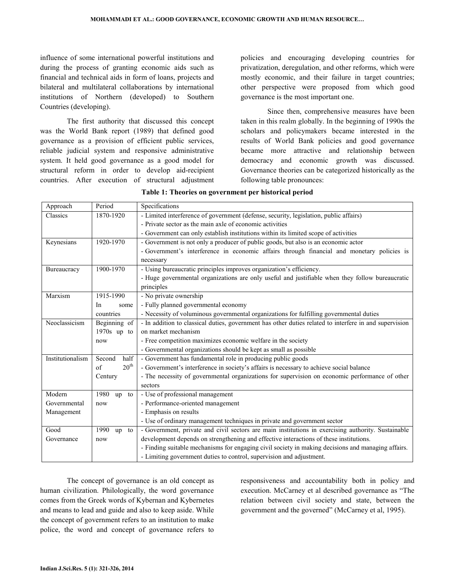influence of some international powerful institutions and during the process of granting economic aids such as financial and technical aids in form of loans, projects and bilateral and multilateral collaborations by international institutions of Northern (developed) to Southern Countries (developing).

 The first authority that discussed this concept was the World Bank report (1989) that defined good governance as a provision of efficient public services, reliable judicial system and responsive administrative system. It held good governance as a good model for structural reform in order to develop aid-recipient countries. After execution of structural adjustment policies and encouraging developing countries for privatization, deregulation, and other reforms, which were mostly economic, and their failure in target countries; other perspective were proposed from which good governance is the most important one.

 Since then, comprehensive measures have been taken in this realm globally. In the beginning of 1990s the scholars and policymakers became interested in the results of World Bank policies and good governance became more attractive and relationship between democracy and economic growth was discussed. Governance theories can be categorized historically as the following table pronounces:

| Approach         | Period                 | Specifications                                                                                         |  |  |
|------------------|------------------------|--------------------------------------------------------------------------------------------------------|--|--|
| Classics         | 1870-1920              | - Limited interference of government (defense, security, legislation, public affairs)                  |  |  |
|                  |                        | - Private sector as the main axle of economic activities                                               |  |  |
|                  |                        | - Government can only establish institutions within its limited scope of activities                    |  |  |
| Keynesians       | 1920-1970              | - Government is not only a producer of public goods, but also is an economic actor                     |  |  |
|                  |                        | - Government's interference in economic affairs through financial and monetary policies is             |  |  |
|                  |                        | necessary                                                                                              |  |  |
| Bureaucracy      | 1900-1970              | - Using bureaucratic principles improves organization's efficiency.                                    |  |  |
|                  |                        | - Huge governmental organizations are only useful and justifiable when they follow bureaucratic        |  |  |
|                  |                        | principles                                                                                             |  |  |
| Marxism          | 1915-1990              | - No private ownership                                                                                 |  |  |
|                  | In<br>some             | - Fully planned governmental economy                                                                   |  |  |
|                  | countries              | - Necessity of voluminous governmental organizations for fulfilling governmental duties                |  |  |
| Neoclassicism    | Beginning of           | - In addition to classical duties, government has other duties related to interfere in and supervision |  |  |
|                  | $1970s$ up to          | on market mechanism                                                                                    |  |  |
|                  | now                    | - Free competition maximizes economic welfare in the society                                           |  |  |
|                  |                        | - Governmental organizations should be kept as small as possible                                       |  |  |
| Institutionalism | half<br>Second         | - Government has fundamental role in producing public goods                                            |  |  |
|                  | $20^{\text{th}}$<br>of | - Government's interference in society's affairs is necessary to achieve social balance                |  |  |
|                  | Century                | - The necessity of governmental organizations for supervision on economic performance of other         |  |  |
|                  |                        | sectors                                                                                                |  |  |
| Modern           | 1980<br>up<br>to       | - Use of professional management                                                                       |  |  |
| Governmental     | now                    | - Performance-oriented management                                                                      |  |  |
| Management       |                        | - Emphasis on results                                                                                  |  |  |
|                  |                        | - Use of ordinary management techniques in private and government sector                               |  |  |
| Good             | 1990<br>to<br>up       | - Government, private and civil sectors are main institutions in exercising authority. Sustainable     |  |  |
| Governance       | now                    | development depends on strengthening and effective interactions of these institutions.                 |  |  |
|                  |                        | - Finding suitable mechanisms for engaging civil society in making decisions and managing affairs.     |  |  |
|                  |                        | - Limiting government duties to control, supervision and adjustment.                                   |  |  |

Table 1: Theories on government per historical period

 The concept of governance is an old concept as human civilization. Philologically, the word governance comes from the Greek words of Kybernan and Kybernetes and means to lead and guide and also to keep aside. While the concept of government refers to an institution to make police, the word and concept of governance refers to responsiveness and accountability both in policy and execution. McCarney et al described governance as "The relation between civil society and state, between the government and the governed" (McCarney et al, 1995).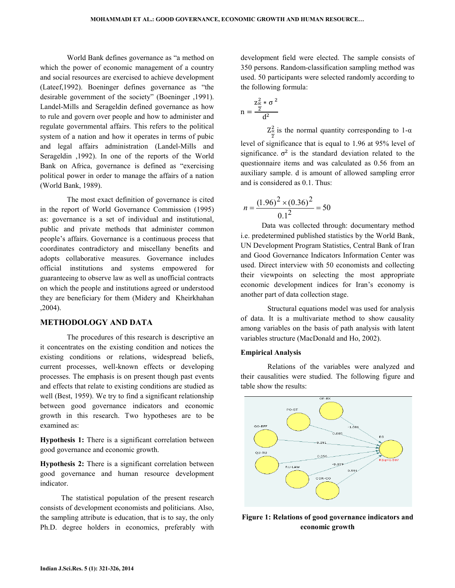World Bank defines governance as "a method on which the power of economic management of a country and social resources are exercised to achieve development (Lateef,1992). Boeninger defines governance as "the desirable government of the society" (Boeninger ,1991). Landel-Mills and Serageldin defined governance as how to rule and govern over people and how to administer and regulate governmental affairs. This refers to the political system of a nation and how it operates in terms of pubic and legal affairs administration (Landel-Mills and Serageldin ,1992). In one of the reports of the World Bank on Africa, governance is defined as "exercising political power in order to manage the affairs of a nation (World Bank, 1989).

 The most exact definition of governance is cited in the report of World Governance Commission (1995) as: governance is a set of individual and institutional, public and private methods that administer common people's affairs. Governance is a continuous process that coordinates contradictory and miscellany benefits and adopts collaborative measures. Governance includes official institutions and systems empowered for guaranteeing to observe law as well as unofficial contracts on which the people and institutions agreed or understood they are beneficiary for them (Midery and Kheirkhahan ,2004).

#### METHODOLOGY AND DATA

 The procedures of this research is descriptive an it concentrates on the existing condition and notices the existing conditions or relations, widespread beliefs, current processes, well-known effects or developing processes. The emphasis is on present though past events and effects that relate to existing conditions are studied as well (Best, 1959). We try to find a significant relationship between good governance indicators and economic growth in this research. Two hypotheses are to be examined as:

Hypothesis 1: There is a significant correlation between good governance and economic growth.

Hypothesis 2: There is a significant correlation between good governance and human resource development indicator.

The statistical population of the present research consists of development economists and politicians. Also, the sampling attribute is education, that is to say, the only Ph.D. degree holders in economics, preferably with

development field were elected. The sample consists of 350 persons. Random-classification sampling method was used. 50 participants were selected randomly according to the following formula:

$$
n = \frac{z_{\alpha}^2 * \sigma^2}{d^2}
$$

 $Z_{\frac{\alpha}{2}}^2$  $\frac{2}{\alpha}$  is the normal quantity corresponding to 1- $\alpha$ level of significance that is equal to 1.96 at 95% level of significance.  $\sigma^2$  is the standard deviation related to the questionnaire items and was calculated as 0.56 from an auxiliary sample. d is amount of allowed sampling error and is considered as 0.1. Thus:

$$
n = \frac{(1.96)^2 \times (0.36)^2}{0.1^2} = 50
$$

Data was collected through: documentary method i.e. predetermined published statistics by the World Bank, UN Development Program Statistics, Central Bank of Iran and Good Governance Indicators Information Center was used. Direct interview with 50 economists and collecting their viewpoints on selecting the most appropriate economic development indices for Iran's economy is another part of data collection stage.

 Structural equations model was used for analysis of data. It is a multivariate method to show causality among variables on the basis of path analysis with latent variables structure (MacDonald and Ho, 2002).

#### Empirical Analysis

 Relations of the variables were analyzed and their causalities were studied. The following figure and table show the results:



Figure 1: Relations of good governance indicators and economic growth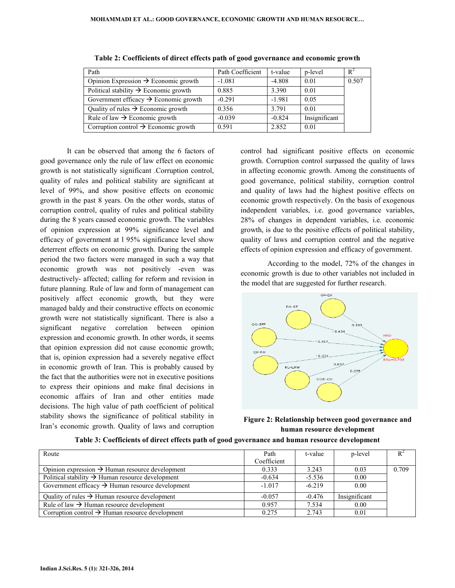| Path                                              | Path Coefficient | t-value  | p-level       | $R^2$ |
|---------------------------------------------------|------------------|----------|---------------|-------|
| Opinion Expression $\rightarrow$ Economic growth  | $-1.081$         | $-4.808$ | 0.01          | 0.507 |
| Political stability $\rightarrow$ Economic growth | 0.885            | 3.390    | 0.01          |       |
| Government efficacy $\rightarrow$ Economic growth | $-0.291$         | $-1.981$ | 0.05          |       |
| Quality of rules $\rightarrow$ Economic growth    | 0.356            | 3.791    | 0.01          |       |
| Rule of law $\rightarrow$ Economic growth         | $-0.039$         | $-0.824$ | Insignificant |       |
| Corruption control $\rightarrow$ Economic growth  | 0.591            | 2.852    | 0.01          |       |

| Table 2: Coefficients of direct effects path of good governance and economic growth |  |  |
|-------------------------------------------------------------------------------------|--|--|
|                                                                                     |  |  |

 It can be observed that among the 6 factors of good governance only the rule of law effect on economic growth is not statistically significant .Corruption control, quality of rules and political stability are significant at level of 99%, and show positive effects on economic growth in the past 8 years. On the other words, status of corruption control, quality of rules and political stability during the 8 years caused economic growth. The variables of opinion expression at 99% significance level and efficacy of government at l 95% significance level show deterrent effects on economic growth. During the sample period the two factors were managed in such a way that economic growth was not positively -even was destructively- affected; calling for reform and revision in future planning. Rule of law and form of management can positively affect economic growth, but they were managed baldy and their constructive effects on economic growth were not statistically significant. There is also a significant negative correlation between opinion expression and economic growth. In other words, it seems that opinion expression did not cause economic growth; that is, opinion expression had a severely negative effect in economic growth of Iran. This is probably caused by the fact that the authorities were not in executive positions to express their opinions and make final decisions in economic affairs of Iran and other entities made decisions. The high value of path coefficient of political stability shows the significance of political stability in Iran's economic growth. Quality of laws and corruption

control had significant positive effects on economic growth. Corruption control surpassed the quality of laws in affecting economic growth. Among the constituents of good governance, political stability, corruption control and quality of laws had the highest positive effects on economic growth respectively. On the basis of exogenous independent variables, i.e. good governance variables, 28% of changes in dependent variables, i.e. economic growth, is due to the positive effects of political stability, quality of laws and corruption control and the negative effects of opinion expression and efficacy of government.

 According to the model, 72% of the changes in economic growth is due to other variables not included in the model that are suggested for further research.



Figure 2: Relationship between good governance and human resource development

| Route                                                        | Path        | t-value  | p-level       | $R^2$ |
|--------------------------------------------------------------|-------------|----------|---------------|-------|
|                                                              | Coefficient |          |               |       |
| Opinion expression $\rightarrow$ Human resource development  | 0.333       | 3.243    | 0.03          | 0.709 |
| Political stability $\rightarrow$ Human resource development | $-0.634$    | $-5.536$ | 0.00          |       |
| Government efficacy $\rightarrow$ Human resource development | $-1.017$    | $-6219$  | 0.00          |       |
| Quality of rules $\rightarrow$ Human resource development    | $-0.057$    | $-0.476$ | Insignificant |       |
| Rule of law $\rightarrow$ Human resource development         | 0.957       | 7.534    | 0.00          |       |
| Corruption control $\rightarrow$ Human resource development  | 0.275       | 2.743    | 0.01          |       |

Table 3: Coefficients of direct effects path of good governance and human resource development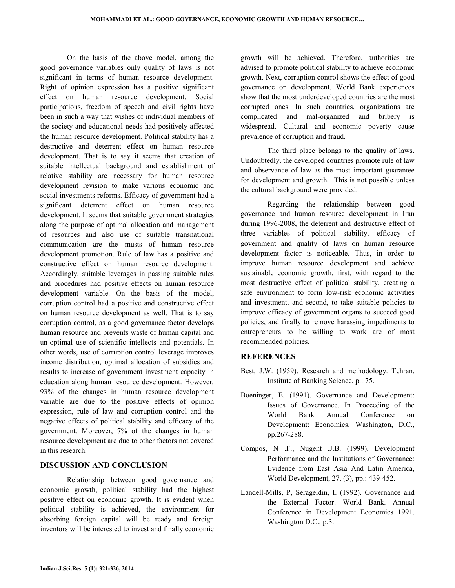On the basis of the above model, among the good governance variables only quality of laws is not significant in terms of human resource development. Right of opinion expression has a positive significant effect on human resource development. Social participations, freedom of speech and civil rights have been in such a way that wishes of individual members of the society and educational needs had positively affected the human resource development. Political stability has a destructive and deterrent effect on human resource development. That is to say it seems that creation of suitable intellectual background and establishment of relative stability are necessary for human resource development revision to make various economic and social investments reforms. Efficacy of government had a significant deterrent effect on human resource development. It seems that suitable government strategies along the purpose of optimal allocation and management of resources and also use of suitable transnational communication are the musts of human resource development promotion. Rule of law has a positive and constructive effect on human resource development. Accordingly, suitable leverages in passing suitable rules and procedures had positive effects on human resource development variable. On the basis of the model, corruption control had a positive and constructive effect on human resource development as well. That is to say corruption control, as a good governance factor develops human resource and prevents waste of human capital and un-optimal use of scientific intellects and potentials. In other words, use of corruption control leverage improves income distribution, optimal allocation of subsidies and results to increase of government investment capacity in education along human resource development. However, 93% of the changes in human resource development variable are due to the positive effects of opinion expression, rule of law and corruption control and the negative effects of political stability and efficacy of the government. Moreover, 7% of the changes in human resource development are due to other factors not covered in this research.

## DISCUSSION AND CONCLUSION

 Relationship between good governance and economic growth, political stability had the highest positive effect on economic growth. It is evident when political stability is achieved, the environment for absorbing foreign capital will be ready and foreign inventors will be interested to invest and finally economic growth will be achieved. Therefore, authorities are advised to promote political stability to achieve economic growth. Next, corruption control shows the effect of good governance on development. World Bank experiences show that the most underdeveloped countries are the most corrupted ones. In such countries, organizations are complicated and mal-organized and bribery is widespread. Cultural and economic poverty cause prevalence of corruption and fraud.

 The third place belongs to the quality of laws. Undoubtedly, the developed countries promote rule of law and observance of law as the most important guarantee for development and growth. This is not possible unless the cultural background were provided.

 Regarding the relationship between good governance and human resource development in Iran during 1996-2008, the deterrent and destructive effect of three variables of political stability, efficacy of government and quality of laws on human resource development factor is noticeable. Thus, in order to improve human resource development and achieve sustainable economic growth, first, with regard to the most destructive effect of political stability, creating a safe environment to form low-risk economic activities and investment, and second, to take suitable policies to improve efficacy of government organs to succeed good policies, and finally to remove harassing impediments to entrepreneurs to be willing to work are of most recommended policies.

#### **REFERENCES**

- Best, J.W. (1959). Research and methodology. Tehran. Institute of Banking Science, p.: 75.
- Boeninger, E. (1991). Governance and Development: Issues of Governance. In Proceeding of the World Bank Annual Conference on Development: Economics. Washington, D.C., pp.267-288.
- Compos, N .F., Nugent .J.B. (1999). Development Performance and the Institutions of Governance: Evidence from East Asia And Latin America, World Development, 27, (3), pp.: 439-452.
- Landell-Mills, P, Serageldin, I. (1992). Governance and the External Factor. World Bank. Annual Conference in Development Economics 1991. Washington D.C., p.3.